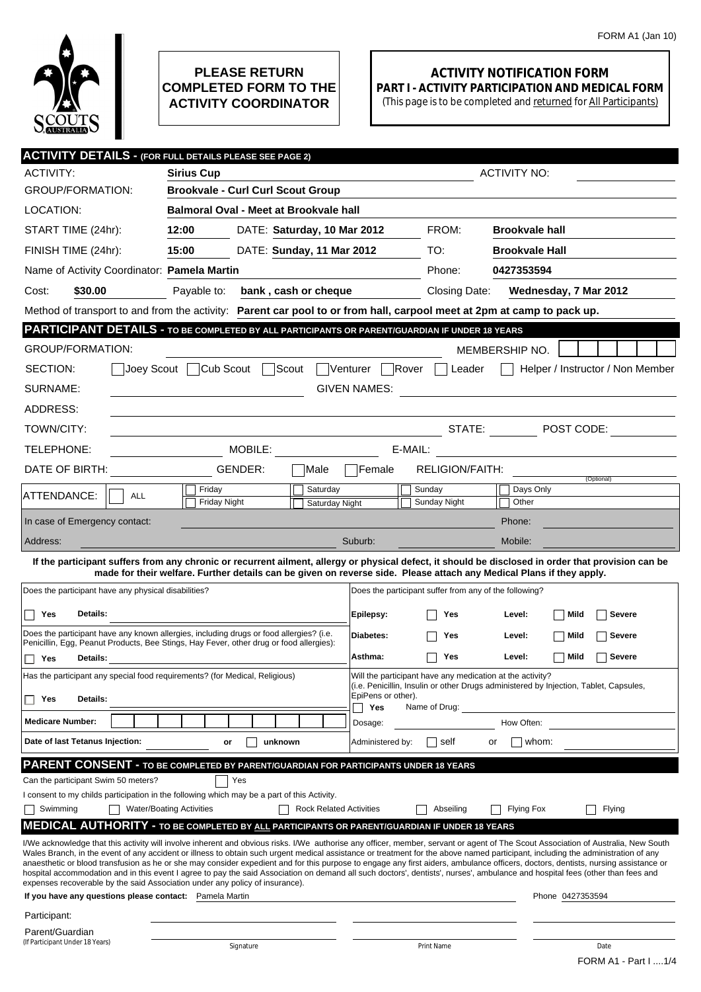

## **PLEASE RETURN COMPLETED FORM TO THE ACTIVITY COORDINATOR**

## **ACTIVITY NOTIFICATION FORM PART I - ACTIVITY PARTICIPATION AND MEDICAL FORM**

(This page is to be completed and returned for All Participants)

| <b>ACTIVITY DETAILS - (FOR FULL DETAILS PLEASE SEE PAGE 2)</b>                                                                                                                                                                                                                                                                                                                                                                                                                                                                                           |                                                   |                                |                                                                                                                                                                          |                                                        |                                                                                                                      |                                  |  |  |  |
|----------------------------------------------------------------------------------------------------------------------------------------------------------------------------------------------------------------------------------------------------------------------------------------------------------------------------------------------------------------------------------------------------------------------------------------------------------------------------------------------------------------------------------------------------------|---------------------------------------------------|--------------------------------|--------------------------------------------------------------------------------------------------------------------------------------------------------------------------|--------------------------------------------------------|----------------------------------------------------------------------------------------------------------------------|----------------------------------|--|--|--|
| <b>ACTIVITY:</b>                                                                                                                                                                                                                                                                                                                                                                                                                                                                                                                                         | <b>Sirius Cup</b>                                 |                                |                                                                                                                                                                          |                                                        | <b>ACTIVITY NO:</b>                                                                                                  |                                  |  |  |  |
| <b>GROUP/FORMATION:</b>                                                                                                                                                                                                                                                                                                                                                                                                                                                                                                                                  | <b>Brookvale - Curl Curl Scout Group</b>          |                                |                                                                                                                                                                          |                                                        |                                                                                                                      |                                  |  |  |  |
| LOCATION:                                                                                                                                                                                                                                                                                                                                                                                                                                                                                                                                                | Balmoral Oval - Meet at Brookvale hall            |                                |                                                                                                                                                                          |                                                        |                                                                                                                      |                                  |  |  |  |
| START TIME (24hr):                                                                                                                                                                                                                                                                                                                                                                                                                                                                                                                                       | 12:00                                             | DATE: Saturday, 10 Mar 2012    |                                                                                                                                                                          | FROM:                                                  | <b>Brookvale hall</b>                                                                                                |                                  |  |  |  |
| FINISH TIME (24hr):                                                                                                                                                                                                                                                                                                                                                                                                                                                                                                                                      | 15:00                                             | DATE: Sunday, 11 Mar 2012      |                                                                                                                                                                          | TO:                                                    | <b>Brookvale Hall</b>                                                                                                |                                  |  |  |  |
| Name of Activity Coordinator: Pamela Martin                                                                                                                                                                                                                                                                                                                                                                                                                                                                                                              |                                                   |                                |                                                                                                                                                                          | Phone:                                                 | 0427353594                                                                                                           |                                  |  |  |  |
| \$30.00<br>Cost:                                                                                                                                                                                                                                                                                                                                                                                                                                                                                                                                         | Payable to:                                       | bank, cash or cheque           |                                                                                                                                                                          | Closing Date:                                          | Wednesday, 7 Mar 2012                                                                                                |                                  |  |  |  |
| Method of transport to and from the activity: Parent car pool to or from hall, carpool meet at 2pm at camp to pack up.                                                                                                                                                                                                                                                                                                                                                                                                                                   |                                                   |                                |                                                                                                                                                                          |                                                        |                                                                                                                      |                                  |  |  |  |
| PARTICIPANT DETAILS - TO BE COMPLETED BY ALL PARTICIPANTS OR PARENT/GUARDIAN IF UNDER 18 YEARS                                                                                                                                                                                                                                                                                                                                                                                                                                                           |                                                   |                                |                                                                                                                                                                          |                                                        |                                                                                                                      |                                  |  |  |  |
| <b>GROUP/FORMATION:</b>                                                                                                                                                                                                                                                                                                                                                                                                                                                                                                                                  |                                                   |                                |                                                                                                                                                                          |                                                        | MEMBERSHIP NO.                                                                                                       |                                  |  |  |  |
| SECTION:                                                                                                                                                                                                                                                                                                                                                                                                                                                                                                                                                 | Joey Scout Cub Scout Scout                        |                                | Venturer Rover                                                                                                                                                           | Leader                                                 |                                                                                                                      | Helper / Instructor / Non Member |  |  |  |
| SURNAME:                                                                                                                                                                                                                                                                                                                                                                                                                                                                                                                                                 |                                                   |                                | <b>GIVEN NAMES:</b>                                                                                                                                                      |                                                        |                                                                                                                      |                                  |  |  |  |
| ADDRESS:                                                                                                                                                                                                                                                                                                                                                                                                                                                                                                                                                 |                                                   |                                |                                                                                                                                                                          |                                                        |                                                                                                                      |                                  |  |  |  |
| TOWN/CITY:                                                                                                                                                                                                                                                                                                                                                                                                                                                                                                                                               |                                                   |                                |                                                                                                                                                                          |                                                        | STATE: $\blacksquare$ POST CODE:                                                                                     |                                  |  |  |  |
| TELEPHONE:                                                                                                                                                                                                                                                                                                                                                                                                                                                                                                                                               | MOBILE:                                           |                                | E-MAIL:                                                                                                                                                                  |                                                        | <u> 1980 - Jan Barbara Barbara, prima popular popular popular popular popular popular popular popular popular po</u> |                                  |  |  |  |
| DATE OF BIRTH:                                                                                                                                                                                                                                                                                                                                                                                                                                                                                                                                           | GENDER:                                           | Male                           | Female                                                                                                                                                                   | RELIGION/FAITH:                                        |                                                                                                                      |                                  |  |  |  |
| ATTENDANCE:<br>ALL                                                                                                                                                                                                                                                                                                                                                                                                                                                                                                                                       | Friday                                            | Saturday                       |                                                                                                                                                                          | Sunday                                                 | Days Only                                                                                                            | (Optional)                       |  |  |  |
|                                                                                                                                                                                                                                                                                                                                                                                                                                                                                                                                                          | Friday Night                                      | <b>Saturday Night</b>          |                                                                                                                                                                          | Sunday Night                                           | Other                                                                                                                |                                  |  |  |  |
| In case of Emergency contact:                                                                                                                                                                                                                                                                                                                                                                                                                                                                                                                            |                                                   |                                |                                                                                                                                                                          |                                                        | Phone:                                                                                                               |                                  |  |  |  |
| Address:                                                                                                                                                                                                                                                                                                                                                                                                                                                                                                                                                 |                                                   |                                | Suburb:                                                                                                                                                                  |                                                        | Mobile:                                                                                                              |                                  |  |  |  |
| If the participant suffers from any chronic or recurrent ailment, allergy or physical defect, it should be disclosed in order that provision can be<br>made for their welfare. Further details can be given on reverse side. Please attach any Medical Plans if they apply.                                                                                                                                                                                                                                                                              |                                                   |                                |                                                                                                                                                                          |                                                        |                                                                                                                      |                                  |  |  |  |
| Does the participant have any physical disabilities?                                                                                                                                                                                                                                                                                                                                                                                                                                                                                                     |                                                   |                                |                                                                                                                                                                          | Does the participant suffer from any of the following? |                                                                                                                      |                                  |  |  |  |
| Yes<br>Details:                                                                                                                                                                                                                                                                                                                                                                                                                                                                                                                                          |                                                   |                                | Epilepsy:                                                                                                                                                                | Yes                                                    | Mild<br>Level:                                                                                                       | Severe                           |  |  |  |
| Does the participant have any known allergies, including drugs or food allergies? (i.e.                                                                                                                                                                                                                                                                                                                                                                                                                                                                  |                                                   |                                | Diabetes:                                                                                                                                                                | Yes                                                    | Level:<br>Mild                                                                                                       | Severe                           |  |  |  |
| Penicillin, Egg, Peanut Products, Bee Stings, Hay Fever, other drug or food allergies):                                                                                                                                                                                                                                                                                                                                                                                                                                                                  |                                                   |                                |                                                                                                                                                                          |                                                        |                                                                                                                      |                                  |  |  |  |
| Yes<br>Details:                                                                                                                                                                                                                                                                                                                                                                                                                                                                                                                                          | Asthma:<br>Mild<br><b>Severe</b><br>Yes<br>Level: |                                |                                                                                                                                                                          |                                                        |                                                                                                                      |                                  |  |  |  |
| Has the participant any special food requirements? (for Medical, Religious)                                                                                                                                                                                                                                                                                                                                                                                                                                                                              |                                                   |                                | Will the participant have any medication at the activity?<br>(i.e. Penicillin, Insulin or other Drugs administered by Injection, Tablet, Capsules,<br>EpiPens or other). |                                                        |                                                                                                                      |                                  |  |  |  |
| <b>Details:</b><br>Yes                                                                                                                                                                                                                                                                                                                                                                                                                                                                                                                                   |                                                   |                                | Yes                                                                                                                                                                      | Name of Drug:                                          |                                                                                                                      |                                  |  |  |  |
| <b>Medicare Number:</b>                                                                                                                                                                                                                                                                                                                                                                                                                                                                                                                                  |                                                   |                                | Dosage:                                                                                                                                                                  |                                                        | How Often:                                                                                                           |                                  |  |  |  |
| Date of last Tetanus Injection:                                                                                                                                                                                                                                                                                                                                                                                                                                                                                                                          | unknown<br>or                                     |                                | Administered by:                                                                                                                                                         | self                                                   | whom:<br>or                                                                                                          |                                  |  |  |  |
| <b>PARENT CONSENT - TO BE COMPLETED BY PARENT/GUARDIAN FOR PARTICIPANTS UNDER 18 YEARS</b>                                                                                                                                                                                                                                                                                                                                                                                                                                                               |                                                   |                                |                                                                                                                                                                          |                                                        |                                                                                                                      |                                  |  |  |  |
| Can the participant Swim 50 meters?                                                                                                                                                                                                                                                                                                                                                                                                                                                                                                                      | Yes                                               |                                |                                                                                                                                                                          |                                                        |                                                                                                                      |                                  |  |  |  |
| I consent to my childs participation in the following which may be a part of this Activity.<br>Swimming                                                                                                                                                                                                                                                                                                                                                                                                                                                  | <b>Water/Boating Activities</b>                   | <b>Rock Related Activities</b> |                                                                                                                                                                          | Abseiling                                              | <b>Flying Fox</b>                                                                                                    | Flying                           |  |  |  |
| <b>MEDICAL AUTHORITY - TO BE COMPLETED BY ALL PARTICIPANTS OR PARENT/GUARDIAN IF UNDER 18 YEARS</b>                                                                                                                                                                                                                                                                                                                                                                                                                                                      |                                                   |                                |                                                                                                                                                                          |                                                        |                                                                                                                      |                                  |  |  |  |
| I/We acknowledge that this activity will involve inherent and obvious risks. I/We authorise any officer, member, servant or agent of The Scout Association of Australia, New South                                                                                                                                                                                                                                                                                                                                                                       |                                                   |                                |                                                                                                                                                                          |                                                        |                                                                                                                      |                                  |  |  |  |
| Wales Branch, in the event of any accident or illness to obtain such urgent medical assistance or treatment for the above named participant, including the administration of any<br>anaesthetic or blood transfusion as he or she may consider expedient and for this purpose to engage any first aiders, ambulance officers, doctors, dentists, nursing assistance or<br>hospital accommodation and in this event I agree to pay the said Association on demand all such doctors', dentists', nurses', ambulance and hospital fees (other than fees and |                                                   |                                |                                                                                                                                                                          |                                                        |                                                                                                                      |                                  |  |  |  |
| expenses recoverable by the said Association under any policy of insurance).                                                                                                                                                                                                                                                                                                                                                                                                                                                                             |                                                   |                                |                                                                                                                                                                          |                                                        |                                                                                                                      |                                  |  |  |  |
| If you have any questions please contact: Pamela Martin                                                                                                                                                                                                                                                                                                                                                                                                                                                                                                  |                                                   |                                |                                                                                                                                                                          |                                                        | Phone 0427353594                                                                                                     |                                  |  |  |  |
| Participant:                                                                                                                                                                                                                                                                                                                                                                                                                                                                                                                                             |                                                   |                                |                                                                                                                                                                          |                                                        |                                                                                                                      |                                  |  |  |  |
| Parent/Guardian<br>(If Participant Under 18 Years)                                                                                                                                                                                                                                                                                                                                                                                                                                                                                                       | Signature                                         |                                |                                                                                                                                                                          | Print Name                                             |                                                                                                                      | Date                             |  |  |  |
|                                                                                                                                                                                                                                                                                                                                                                                                                                                                                                                                                          |                                                   |                                |                                                                                                                                                                          |                                                        |                                                                                                                      | FORM A1 - Part I  1/4            |  |  |  |